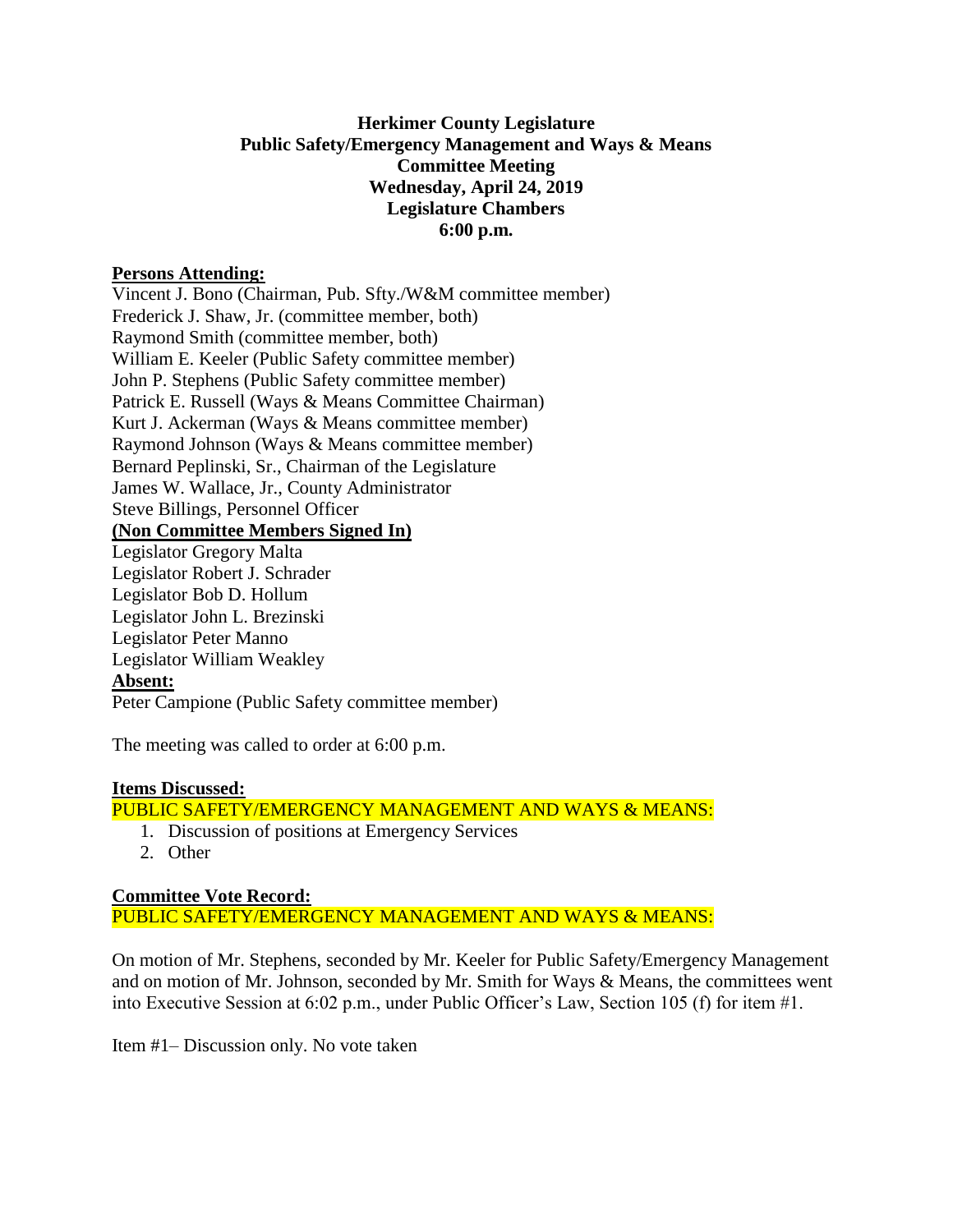## **Herkimer County Legislature Public Safety/Emergency Management and Ways & Means Committee Meeting Wednesday, April 24, 2019 Legislature Chambers 6:00 p.m.**

### **Persons Attending:**

Vincent J. Bono (Chairman, Pub. Sfty./W&M committee member) Frederick J. Shaw, Jr. (committee member, both) Raymond Smith (committee member, both) William E. Keeler (Public Safety committee member) John P. Stephens (Public Safety committee member) Patrick E. Russell (Ways & Means Committee Chairman) Kurt J. Ackerman (Ways & Means committee member) Raymond Johnson (Ways & Means committee member) Bernard Peplinski, Sr., Chairman of the Legislature James W. Wallace, Jr., County Administrator Steve Billings, Personnel Officer **(Non Committee Members Signed In)** Legislator Gregory Malta Legislator Robert J. Schrader Legislator Bob D. Hollum

Legislator John L. Brezinski Legislator Peter Manno

# Legislator William Weakley

### **Absent:**

Peter Campione (Public Safety committee member)

The meeting was called to order at 6:00 p.m.

#### **Items Discussed:**

PUBLIC SAFETY/EMERGENCY MANAGEMENT AND WAYS & MEANS:

- 1. Discussion of positions at Emergency Services
- 2. Other

**Committee Vote Record:** PUBLIC SAFETY/EMERGENCY MANAGEMENT AND WAYS & MEANS:

On motion of Mr. Stephens, seconded by Mr. Keeler for Public Safety/Emergency Management and on motion of Mr. Johnson, seconded by Mr. Smith for Ways & Means, the committees went into Executive Session at 6:02 p.m., under Public Officer's Law, Section 105 (f) for item #1.

Item #1– Discussion only. No vote taken